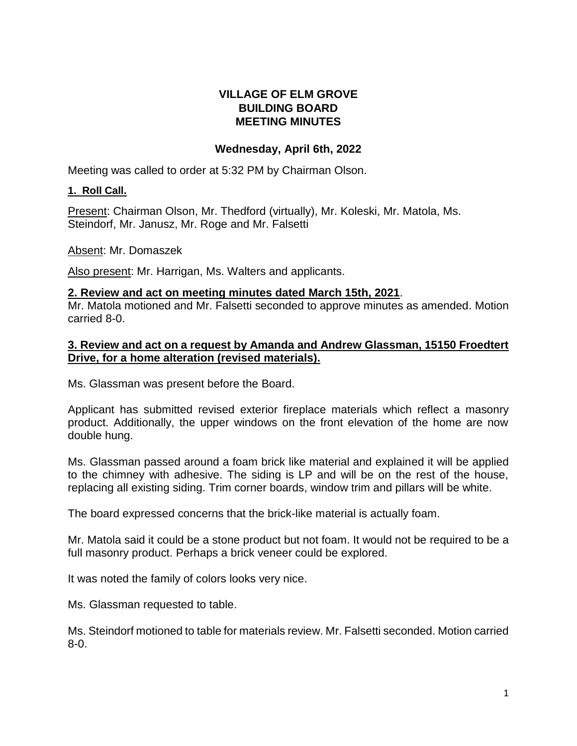# **VILLAGE OF ELM GROVE BUILDING BOARD MEETING MINUTES**

# **Wednesday, April 6th, 2022**

Meeting was called to order at 5:32 PM by Chairman Olson.

## **1. Roll Call.**

Present: Chairman Olson, Mr. Thedford (virtually), Mr. Koleski, Mr. Matola, Ms. Steindorf, Mr. Janusz, Mr. Roge and Mr. Falsetti

Absent: Mr. Domaszek

Also present: Mr. Harrigan, Ms. Walters and applicants.

#### **2. Review and act on meeting minutes dated March 15th, 2021**.

Mr. Matola motioned and Mr. Falsetti seconded to approve minutes as amended. Motion carried 8-0.

### **3. Review and act on a request by Amanda and Andrew Glassman, 15150 Froedtert Drive, for a home alteration (revised materials).**

Ms. Glassman was present before the Board.

Applicant has submitted revised exterior fireplace materials which reflect a masonry product. Additionally, the upper windows on the front elevation of the home are now double hung.

Ms. Glassman passed around a foam brick like material and explained it will be applied to the chimney with adhesive. The siding is LP and will be on the rest of the house, replacing all existing siding. Trim corner boards, window trim and pillars will be white.

The board expressed concerns that the brick-like material is actually foam.

Mr. Matola said it could be a stone product but not foam. It would not be required to be a full masonry product. Perhaps a brick veneer could be explored.

It was noted the family of colors looks very nice.

Ms. Glassman requested to table.

Ms. Steindorf motioned to table for materials review. Mr. Falsetti seconded. Motion carried 8-0.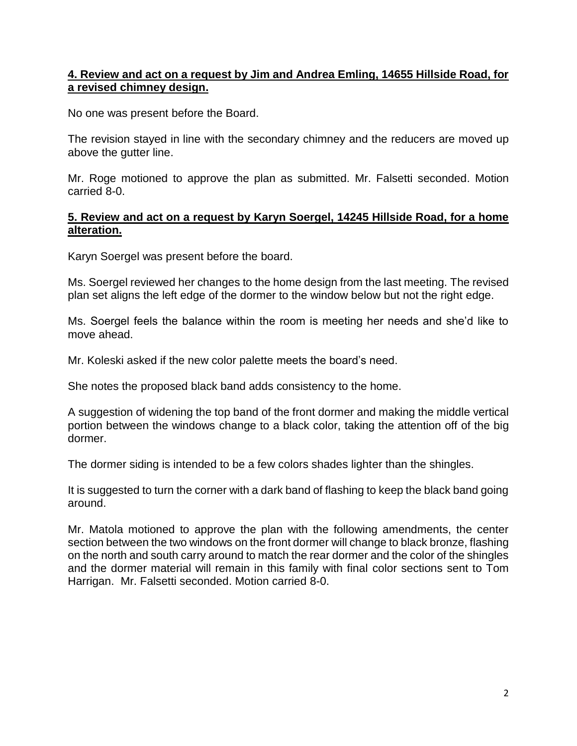# **4. Review and act on a request by Jim and Andrea Emling, 14655 Hillside Road, for a revised chimney design.**

No one was present before the Board.

The revision stayed in line with the secondary chimney and the reducers are moved up above the gutter line.

Mr. Roge motioned to approve the plan as submitted. Mr. Falsetti seconded. Motion carried 8-0.

## **5. Review and act on a request by Karyn Soergel, 14245 Hillside Road, for a home alteration.**

Karyn Soergel was present before the board.

Ms. Soergel reviewed her changes to the home design from the last meeting. The revised plan set aligns the left edge of the dormer to the window below but not the right edge.

Ms. Soergel feels the balance within the room is meeting her needs and she'd like to move ahead.

Mr. Koleski asked if the new color palette meets the board's need.

She notes the proposed black band adds consistency to the home.

A suggestion of widening the top band of the front dormer and making the middle vertical portion between the windows change to a black color, taking the attention off of the big dormer.

The dormer siding is intended to be a few colors shades lighter than the shingles.

It is suggested to turn the corner with a dark band of flashing to keep the black band going around.

Mr. Matola motioned to approve the plan with the following amendments, the center section between the two windows on the front dormer will change to black bronze, flashing on the north and south carry around to match the rear dormer and the color of the shingles and the dormer material will remain in this family with final color sections sent to Tom Harrigan. Mr. Falsetti seconded. Motion carried 8-0.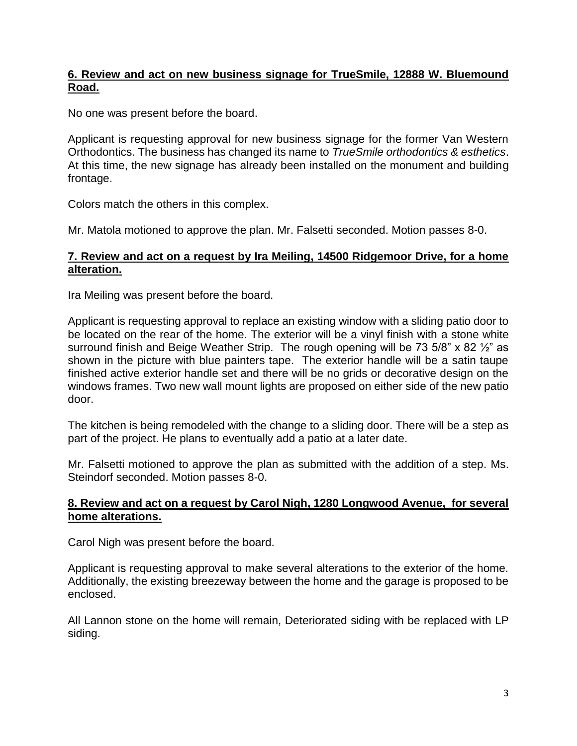# **6. Review and act on new business signage for TrueSmile, 12888 W. Bluemound Road.**

No one was present before the board.

Applicant is requesting approval for new business signage for the former Van Western Orthodontics. The business has changed its name to *TrueSmile orthodontics & esthetics*. At this time, the new signage has already been installed on the monument and building frontage.

Colors match the others in this complex.

Mr. Matola motioned to approve the plan. Mr. Falsetti seconded. Motion passes 8-0.

# **7. Review and act on a request by Ira Meiling, 14500 Ridgemoor Drive, for a home alteration.**

Ira Meiling was present before the board.

Applicant is requesting approval to replace an existing window with a sliding patio door to be located on the rear of the home. The exterior will be a vinyl finish with a stone white surround finish and Beige Weather Strip. The rough opening will be 73 5/8" x 82 1/2" as shown in the picture with blue painters tape. The exterior handle will be a satin taupe finished active exterior handle set and there will be no grids or decorative design on the windows frames. Two new wall mount lights are proposed on either side of the new patio door.

The kitchen is being remodeled with the change to a sliding door. There will be a step as part of the project. He plans to eventually add a patio at a later date.

Mr. Falsetti motioned to approve the plan as submitted with the addition of a step. Ms. Steindorf seconded. Motion passes 8-0.

## **8. Review and act on a request by Carol Nigh, 1280 Longwood Avenue, for several home alterations.**

Carol Nigh was present before the board.

Applicant is requesting approval to make several alterations to the exterior of the home. Additionally, the existing breezeway between the home and the garage is proposed to be enclosed.

All Lannon stone on the home will remain, Deteriorated siding with be replaced with LP siding.